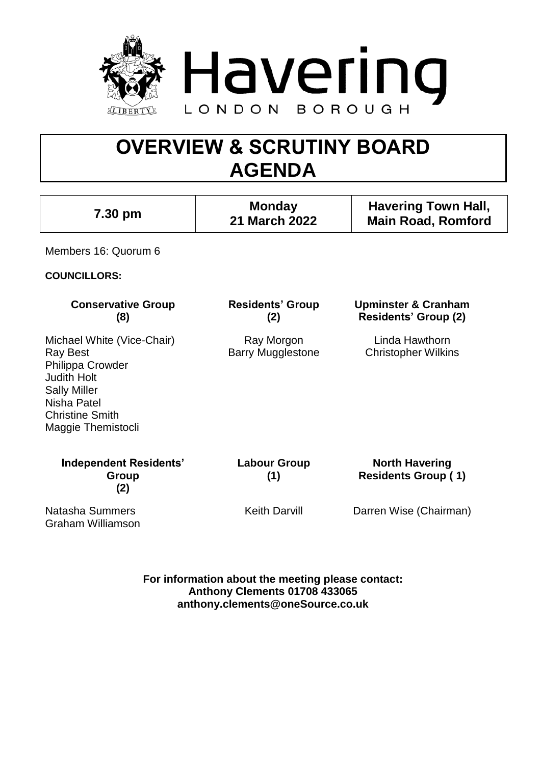

# **OVERVIEW & SCRUTINY BOARD AGENDA**

| 7.30 pm                                                                                                                                                                       | <b>Monday</b><br>21 March 2022         | <b>Havering Town Hall,</b><br><b>Main Road, Romford</b>       |
|-------------------------------------------------------------------------------------------------------------------------------------------------------------------------------|----------------------------------------|---------------------------------------------------------------|
| Members 16: Quorum 6                                                                                                                                                          |                                        |                                                               |
| <b>COUNCILLORS:</b>                                                                                                                                                           |                                        |                                                               |
| <b>Conservative Group</b><br>(8)                                                                                                                                              | <b>Residents' Group</b><br>(2)         | <b>Upminster &amp; Cranham</b><br><b>Residents' Group (2)</b> |
| Michael White (Vice-Chair)<br><b>Ray Best</b><br>Philippa Crowder<br><b>Judith Holt</b><br><b>Sally Miller</b><br>Nisha Patel<br><b>Christine Smith</b><br>Maggie Themistocli | Ray Morgon<br><b>Barry Mugglestone</b> | Linda Hawthorn<br><b>Christopher Wilkins</b>                  |
| <b>Independent Residents'</b><br>Group<br>(2)                                                                                                                                 | <b>Labour Group</b><br>(1)             | <b>North Havering</b><br><b>Residents Group (1)</b>           |
| Natasha Summers<br><b>Graham Williamson</b>                                                                                                                                   | <b>Keith Darvill</b>                   | Darren Wise (Chairman)                                        |

**For information about the meeting please contact: Anthony Clements 01708 433065 anthony.clements@oneSource.co.uk**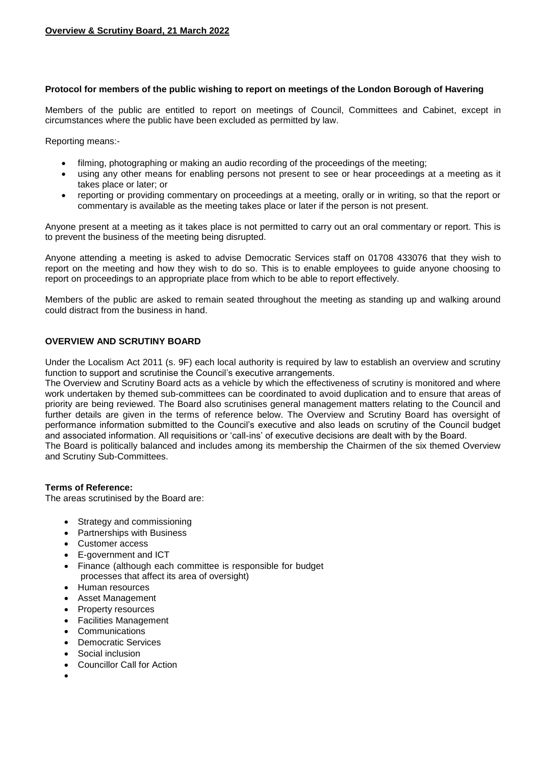#### **Protocol for members of the public wishing to report on meetings of the London Borough of Havering**

Members of the public are entitled to report on meetings of Council, Committees and Cabinet, except in circumstances where the public have been excluded as permitted by law.

Reporting means:-

- filming, photographing or making an audio recording of the proceedings of the meeting;
- using any other means for enabling persons not present to see or hear proceedings at a meeting as it takes place or later; or
- reporting or providing commentary on proceedings at a meeting, orally or in writing, so that the report or commentary is available as the meeting takes place or later if the person is not present.

Anyone present at a meeting as it takes place is not permitted to carry out an oral commentary or report. This is to prevent the business of the meeting being disrupted.

Anyone attending a meeting is asked to advise Democratic Services staff on 01708 433076 that they wish to report on the meeting and how they wish to do so. This is to enable employees to guide anyone choosing to report on proceedings to an appropriate place from which to be able to report effectively.

Members of the public are asked to remain seated throughout the meeting as standing up and walking around could distract from the business in hand.

#### **OVERVIEW AND SCRUTINY BOARD**

Under the Localism Act 2011 (s. 9F) each local authority is required by law to establish an overview and scrutiny function to support and scrutinise the Council's executive arrangements.

The Overview and Scrutiny Board acts as a vehicle by which the effectiveness of scrutiny is monitored and where work undertaken by themed sub-committees can be coordinated to avoid duplication and to ensure that areas of priority are being reviewed. The Board also scrutinises general management matters relating to the Council and further details are given in the terms of reference below. The Overview and Scrutiny Board has oversight of performance information submitted to the Council's executive and also leads on scrutiny of the Council budget and associated information. All requisitions or 'call-ins' of executive decisions are dealt with by the Board. The Board is politically balanced and includes among its membership the Chairmen of the six themed Overview and Scrutiny Sub-Committees.

#### **Terms of Reference:**

The areas scrutinised by the Board are:

- Strategy and commissioning
- Partnerships with Business
- Customer access
- E-government and ICT
- Finance (although each committee is responsible for budget processes that affect its area of oversight)
- Human resources
- Asset Management
- Property resources
- Facilities Management
- **Communications**
- Democratic Services
- Social inclusion
- Councillor Call for Action
- $\bullet$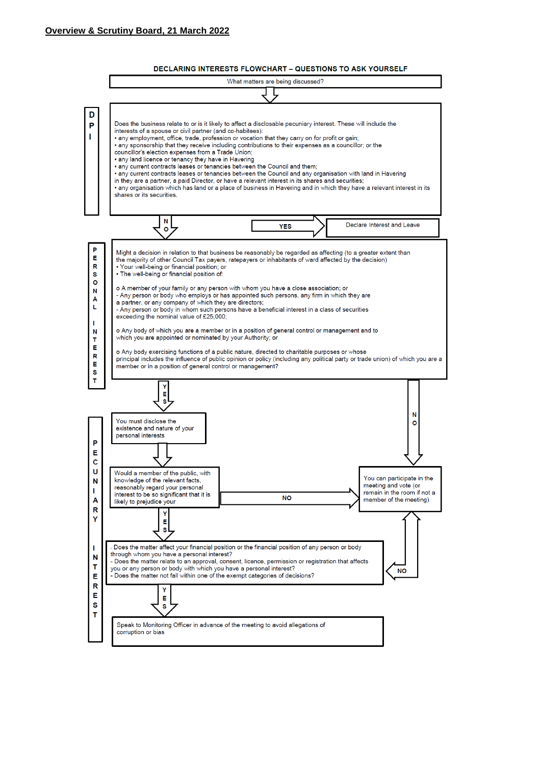

#### **DECLARING INTERESTS FLOWCHART - QUESTIONS TO ASK YOURSELF**